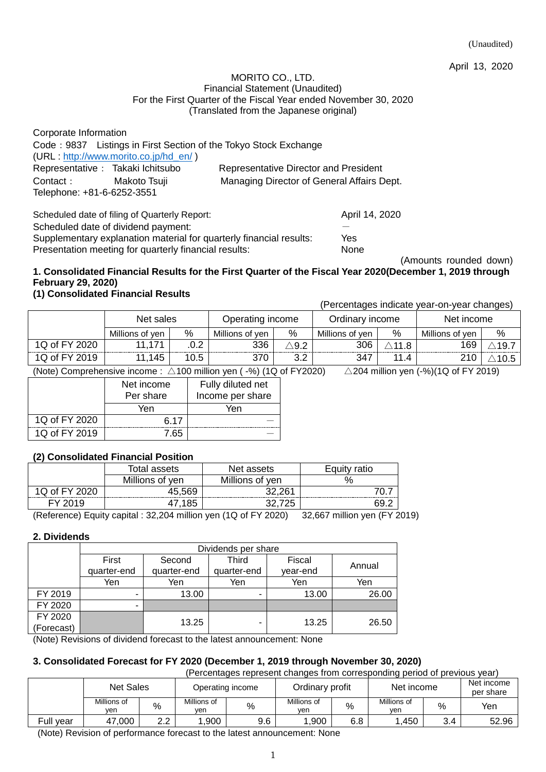(Unaudited)

April 13, 2020

#### MORITO CO., LTD. Financial Statement (Unaudited) For the First Quarter of the Fiscal Year ended November 30, 2020 (Translated from the Japanese original)

| Corporate Information                                            |                                              |
|------------------------------------------------------------------|----------------------------------------------|
| Code: 9837 Listings in First Section of the Tokyo Stock Exchange |                                              |
| (URL: http://www.morito.co.jp/hd_en/)                            |                                              |
| Representative : Takaki Ichitsubo                                | <b>Representative Director and President</b> |
| Contact:<br>Makoto Tsuji                                         | Managing Director of General Affairs Dept.   |
| Telephone: +81-6-6252-3551                                       |                                              |
|                                                                  |                                              |

Scheduled date of filing of Quarterly Report: April 14, 2020 Scheduled date of dividend payment: Supplementary explanation material for quarterly financial results: Yes Presentation meeting for quarterly financial results: None

(Amounts rounded down)

## **1. Consolidated Financial Results for the First Quarter of the Fiscal Year 2020(December 1, 2019 through February 29, 2020)**

## **(1) Consolidated Financial Results**

(Percentages indicate year-on-year changes)

|               | Net sales       |      | Operating income |      | Ordinary income |       | Net income      |     |
|---------------|-----------------|------|------------------|------|-----------------|-------|-----------------|-----|
|               | Millions of ven | $\%$ | Millions of ven  | %    | Millions of ven | %     | Millions of ven | %   |
| 1Q of FY 2020 | 11 171          |      | 336              | .9.2 | 306             | ∖11.8 | 169             | 19. |
| 1Q of FY 2019 | 11,145          | 10.5 | 370              | ے.ت  | 347             | 11.4  | 210             |     |

(Note) Comprehensive income :  $\triangle$ 100 million yen (-%) (1Q of FY 2020)

| $\triangle$ 204 million yen (-%)(1Q of FY 2019) |
|-------------------------------------------------|
|-------------------------------------------------|

|               | Net income<br>Per share | Fully diluted net<br>Income per share |
|---------------|-------------------------|---------------------------------------|
|               | Yen                     | Yen                                   |
| 1Q of FY 2020 | 6.17                    |                                       |
| 1Q of FY 2019 | 7.65                    |                                       |

## **(2) Consolidated Financial Position**

| Total assets    | Net assets      | Equity ratio |
|-----------------|-----------------|--------------|
| Millions of yen | Millions of yen |              |
| 45.569          | 22 2R1          |              |
|                 |                 |              |
|                 |                 |              |

(Reference) Equity capital : 32,204 million yen (1Q of FY 2020) 32,667 million yen (FY 2019)

## **2. Dividends**

|            | Dividends per share |             |             |          |        |  |
|------------|---------------------|-------------|-------------|----------|--------|--|
|            | First               | Second      | Third       | Fiscal   | Annual |  |
|            | quarter-end         | quarter-end | quarter-end | year-end |        |  |
|            | Yen                 | Yen         | Yen         | Yen      | Yen    |  |
| FY 2019    |                     | 13.00       |             | 13.00    | 26.00  |  |
| FY 2020    | -                   |             |             |          |        |  |
| FY 2020    |                     | 13.25       |             | 13.25    | 26.50  |  |
| (Forecast) |                     |             |             |          |        |  |

(Note) Revisions of dividend forecast to the latest announcement: None

## **3. Consolidated Forecast for FY 2020 (December 1, 2019 through November 30, 2020)**

|--|

|           | Net Sales          |           |                    | Operating income | Ordinary profit    |     | Net income         |     | Net income<br>per share |
|-----------|--------------------|-----------|--------------------|------------------|--------------------|-----|--------------------|-----|-------------------------|
|           | Millions of<br>ven | %         | Millions of<br>ven | $\%$             | Millions of<br>ven | %   | Millions of<br>ven | %   | Yen                     |
| Full vear | 47.000             | າາ<br>ے.ے | .900               | 9.6              | .900               | 6.8 | ,450               | 3.4 | 52.96                   |

(Note) Revision of performance forecast to the latest announcement: None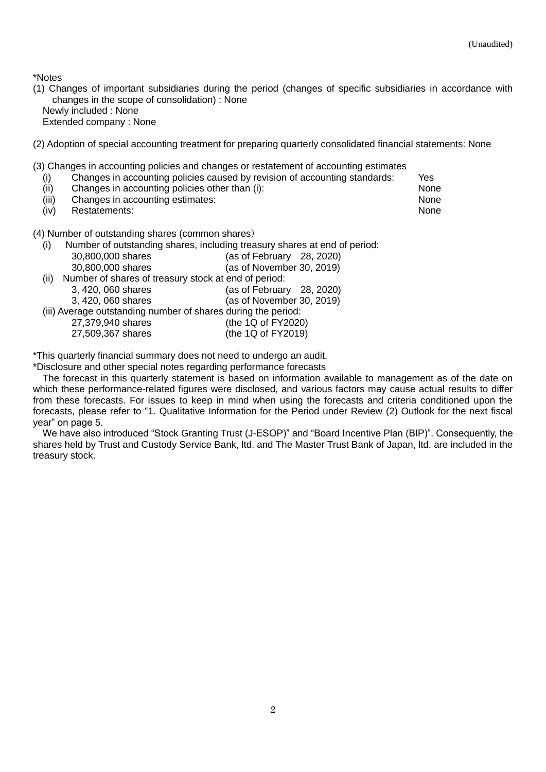\*Notes

- (1) Changes of important subsidiaries during the period (changes of specific subsidiaries in accordance with changes in the scope of consolidation) : None Newly included : None
	- Extended company : None
- (2) Adoption of special accounting treatment for preparing quarterly consolidated financial statements: None

(3) Changes in accounting policies and changes or restatement of accounting estimates

- (i) Changes in accounting policies caused by revision of accounting standards: Yes
- (ii) Changes in accounting policies other than (i): None
- (iii) Changes in accounting estimates: None
- (iv) Restatements: None

(4) Number of outstanding shares (common shares)

(i) Number of outstanding shares, including treasury shares at end of period:

|      | 30,800,000 shares                                             | (as of February 28, 2020) |
|------|---------------------------------------------------------------|---------------------------|
|      | 30,800,000 shares                                             | (as of November 30, 2019) |
| (ii) | Number of shares of treasury stock at end of period:          |                           |
|      | 3, 420, 060 shares                                            | (as of February 28, 2020) |
|      | 3, 420, 060 shares                                            | (as of November 30, 2019) |
|      | (iii) Average outstanding number of shares during the period: |                           |
|      | 27,379,940 shares                                             | (the 1Q of FY2020)        |
|      | 27,509,367 shares                                             | (the 1Q of FY2019)        |

\*This quarterly financial summary does not need to undergo an audit.

\*Disclosure and other special notes regarding performance forecasts

The forecast in this quarterly statement is based on information available to management as of the date on which these performance-related figures were disclosed, and various factors may cause actual results to differ from these forecasts. For issues to keep in mind when using the forecasts and criteria conditioned upon the forecasts, please refer to "1. Qualitative Information for the Period under Review (2) Outlook for the next fiscal year" on page 5.

We have also introduced "Stock Granting Trust (J-ESOP)" and "Board Incentive Plan (BIP)". Consequently, the shares held by Trust and Custody Service Bank, ltd. and The Master Trust Bank of Japan, ltd. are included in the treasury stock.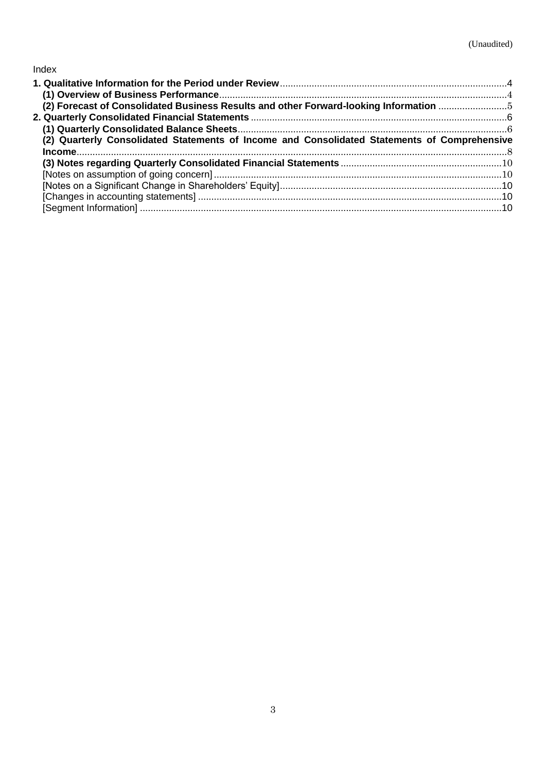## Index

| (2) Forecast of Consolidated Business Results and other Forward-looking Information 5        |  |
|----------------------------------------------------------------------------------------------|--|
|                                                                                              |  |
|                                                                                              |  |
| (2) Quarterly Consolidated Statements of Income and Consolidated Statements of Comprehensive |  |
|                                                                                              |  |
|                                                                                              |  |
|                                                                                              |  |
|                                                                                              |  |
|                                                                                              |  |
|                                                                                              |  |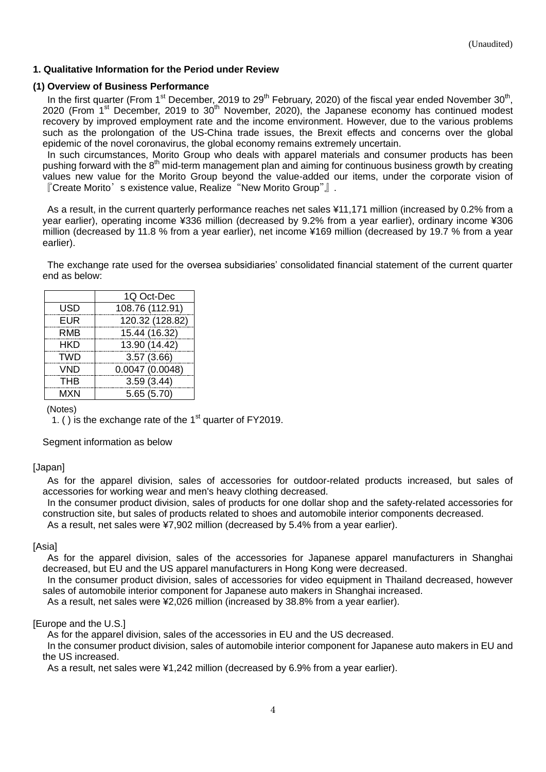## <span id="page-3-0"></span>**1. Qualitative Information for the Period under Review**

### <span id="page-3-1"></span>**(1) Overview of Business Performance**

In the first quarter (From 1<sup>st</sup> December, 2019 to 29<sup>th</sup> February, 2020) of the fiscal year ended November 30<sup>th</sup>, 2020 (From 1<sup>st</sup> December, 2019 to 30<sup>th</sup> November, 2020), the Japanese economy has continued modest recovery by improved employment rate and the income environment. However, due to the various problems such as the prolongation of the US-China trade issues, the Brexit effects and concerns over the global epidemic of the novel coronavirus, the global economy remains extremely uncertain.

In such circumstances, Morito Group who deals with apparel materials and consumer products has been pushing forward with the 8<sup>th</sup> mid-term management plan and aiming for continuous business growth by creating values new value for the Morito Group beyond the value-added our items, under the corporate vision of 『Create Morito's existence value, Realize"New Morito Group"』.

As a result, in the current quarterly performance reaches net sales ¥11,171 million (increased by 0.2% from a year earlier), operating income ¥336 million (decreased by 9.2% from a year earlier), ordinary income ¥306 million (decreased by 11.8 % from a year earlier), net income ¥169 million (decreased by 19.7 % from a year earlier).

The exchange rate used for the oversea subsidiaries' consolidated financial statement of the current quarter end as below:

|            | 1Q Oct-Dec      |
|------------|-----------------|
| USD        | 108.76 (112.91) |
| <b>EUR</b> | 120.32 (128.82) |
| RMB        | 15.44 (16.32)   |
| <b>HKD</b> | 13.90 (14.42)   |
| <b>TWD</b> | 3.57(3.66)      |
| <b>VND</b> | 0.0047(0.0048)  |
| <b>THB</b> | 3.59(3.44)      |
| <b>MXN</b> | 5.65(5.70)      |

## (Notes)

1. ( ) is the exchange rate of the  $1<sup>st</sup>$  quarter of FY2019.

Segment information as below

## [Japan]

As for the apparel division, sales of accessories for outdoor-related products increased, but sales of accessories for working wear and men's heavy clothing decreased.

In the consumer product division, sales of products for one dollar shop and the safety-related accessories for construction site, but sales of products related to shoes and automobile interior components decreased.

As a result, net sales were ¥7,902 million (decreased by 5.4% from a year earlier).

## [Asia]

As for the apparel division, sales of the accessories for Japanese apparel manufacturers in Shanghai decreased, but EU and the US apparel manufacturers in Hong Kong were decreased.

In the consumer product division, sales of accessories for video equipment in Thailand decreased, however sales of automobile interior component for Japanese auto makers in Shanghai increased.

As a result, net sales were ¥2,026 million (increased by 38.8% from a year earlier).

#### [Europe and the U.S.]

As for the apparel division, sales of the accessories in EU and the US decreased.

In the consumer product division, sales of automobile interior component for Japanese auto makers in EU and the US increased.

As a result, net sales were ¥1,242 million (decreased by 6.9% from a year earlier).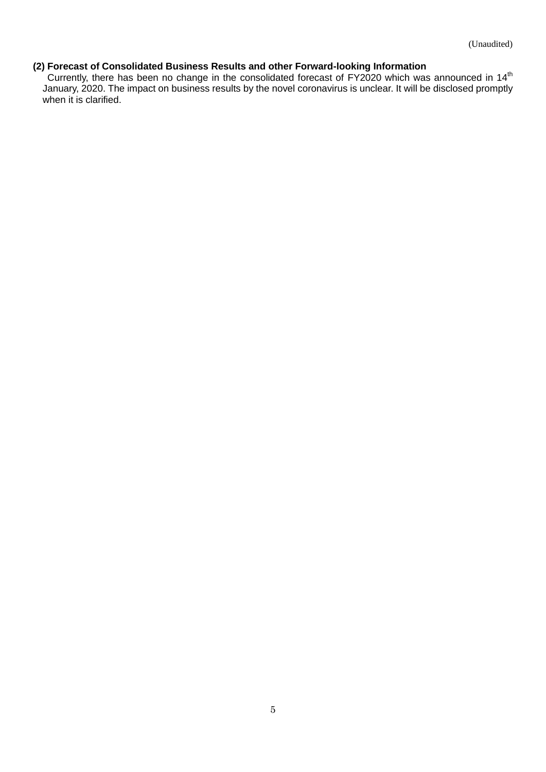#### <span id="page-4-0"></span>**(2) Forecast of Consolidated Business Results and other Forward-looking Information**

Currently, there has been no change in the consolidated forecast of FY2020 which was announced in 14<sup>th</sup> January, 2020. The impact on business results by the novel coronavirus is unclear. It will be disclosed promptly when it is clarified.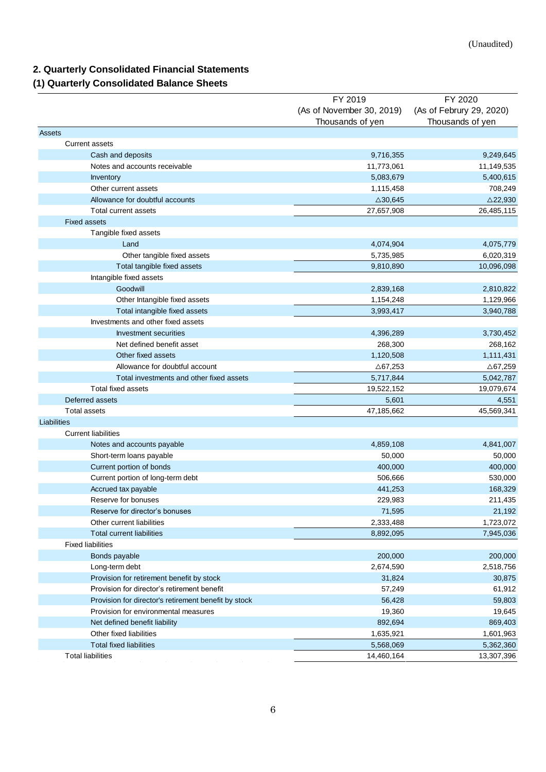## <span id="page-5-0"></span>**2. Quarterly Consolidated Financial Statements**

## <span id="page-5-1"></span>**(1) Quarterly Consolidated Balance Sheets**

|                                                      | FY 2019                   | FY 2020                  |
|------------------------------------------------------|---------------------------|--------------------------|
|                                                      | (As of November 30, 2019) | (As of Februry 29, 2020) |
|                                                      | Thousands of yen          | Thousands of yen         |
| <b>Assets</b>                                        |                           |                          |
| <b>Current assets</b>                                |                           |                          |
| Cash and deposits                                    | 9,716,355                 | 9,249,645                |
| Notes and accounts receivable                        | 11,773,061                | 11,149,535               |
| Inventory                                            | 5,083,679                 | 5,400,615                |
| Other current assets                                 | 1,115,458                 | 708,249                  |
| Allowance for doubtful accounts                      | $\triangle$ 30,645        | $\triangle$ 22,930       |
| Total current assets                                 | 27,657,908                | 26,485,115               |
| <b>Fixed assets</b>                                  |                           |                          |
| Tangible fixed assets                                |                           |                          |
| Land                                                 | 4,074,904                 | 4,075,779                |
| Other tangible fixed assets                          | 5,735,985                 | 6,020,319                |
| Total tangible fixed assets                          | 9,810,890                 | 10,096,098               |
| Intangible fixed assets                              |                           |                          |
| Goodwill                                             | 2,839,168                 | 2,810,822                |
| Other Intangible fixed assets                        | 1,154,248                 | 1,129,966                |
| Total intangible fixed assets                        | 3,993,417                 | 3,940,788                |
| Investments and other fixed assets                   |                           |                          |
| Investment securities                                | 4,396,289                 | 3,730,452                |
| Net defined benefit asset                            | 268,300                   | 268,162                  |
| Other fixed assets                                   | 1,120,508                 | 1,111,431                |
| Allowance for doubtful account                       | △67,253                   | $\triangle$ 67,259       |
| Total investments and other fixed assets             | 5,717,844                 | 5,042,787                |
| Total fixed assets                                   | 19,522,152                | 19,079,674               |
| Deferred assets                                      | 5,601                     | 4,551                    |
| <b>Total assets</b>                                  | 47,185,662                | 45,569,341               |
| Liabilities                                          |                           |                          |
| <b>Current liabilities</b>                           |                           |                          |
| Notes and accounts payable                           | 4,859,108                 | 4,841,007                |
| Short-term loans payable                             | 50,000                    | 50,000                   |
| Current portion of bonds                             | 400,000                   | 400,000                  |
| Current portion of long-term debt                    | 506,666                   | 530,000                  |
| Accrued tax payable                                  | 441,253                   | 168,329                  |
| Reserve for bonuses                                  | 229,983                   | 211,435                  |
| Reserve for director's bonuses                       | 71,595                    | 21,192                   |
| Other current liabilities                            |                           |                          |
| <b>Total current liabilities</b>                     | 2,333,488<br>8,892,095    | 1,723,072<br>7,945,036   |
| <b>Fixed liabilities</b>                             |                           |                          |
|                                                      | 200,000                   | 200,000                  |
| Bonds payable                                        |                           |                          |
| Long-term debt                                       | 2,674,590                 | 2,518,756                |
| Provision for retirement benefit by stock            | 31,824                    | 30,875                   |
| Provision for director's retirement benefit          | 57,249                    | 61,912                   |
| Provision for director's retirement benefit by stock | 56,428                    | 59,803                   |
| Provision for environmental measures                 | 19,360                    | 19,645                   |
| Net defined benefit liability                        | 892,694                   | 869,403                  |
| Other fixed liabilities                              | 1,635,921                 | 1,601,963                |
| <b>Total fixed liabilities</b>                       | 5,568,069                 | 5,362,360                |
| <b>Total liabilities</b>                             | 14,460,164                | 13,307,396               |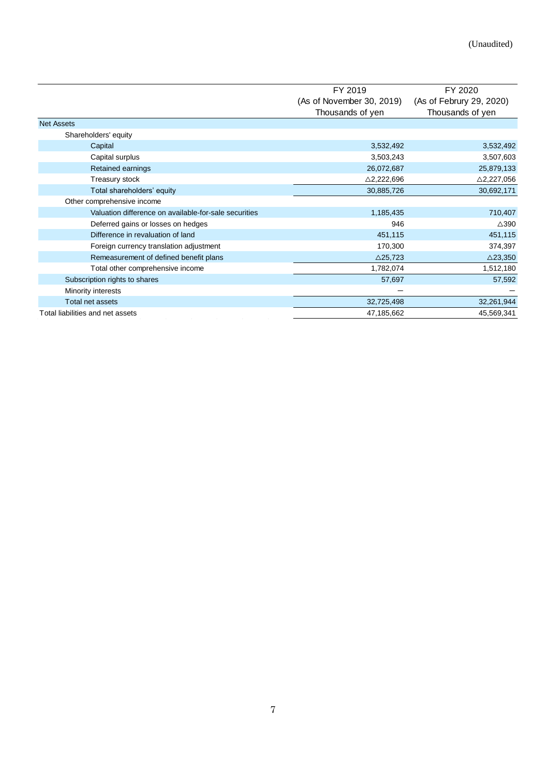|                                                       | FY 2019                   | FY 2020                  |  |
|-------------------------------------------------------|---------------------------|--------------------------|--|
|                                                       | (As of November 30, 2019) | (As of Februry 29, 2020) |  |
|                                                       | Thousands of yen          | Thousands of yen         |  |
| <b>Net Assets</b>                                     |                           |                          |  |
| Shareholders' equity                                  |                           |                          |  |
| Capital                                               | 3,532,492                 | 3,532,492                |  |
| Capital surplus                                       | 3,503,243                 | 3,507,603                |  |
| Retained earnings                                     | 26,072,687                | 25,879,133               |  |
| Treasury stock                                        | $\triangle$ 2,222,696     | $\triangle$ 2,227,056    |  |
| Total shareholders' equity                            | 30,885,726                | 30,692,171               |  |
| Other comprehensive income                            |                           |                          |  |
| Valuation difference on available-for-sale securities | 1,185,435                 | 710,407                  |  |
| Deferred gains or losses on hedges                    | 946                       | $\triangle$ 390          |  |
| Difference in revaluation of land                     | 451,115                   | 451,115                  |  |
| Foreign currency translation adjustment               | 170,300                   | 374,397                  |  |
| Remeasurement of defined benefit plans                | $\triangle$ 25,723        | $\triangle$ 23,350       |  |
| Total other comprehensive income                      | 1,782,074                 | 1,512,180                |  |
| Subscription rights to shares                         | 57,697                    | 57,592                   |  |
| Minority interests                                    |                           |                          |  |
| Total net assets                                      | 32,725,498                | 32,261,944               |  |
| Total liabilities and net assets                      | 47,185,662                | 45,569,341               |  |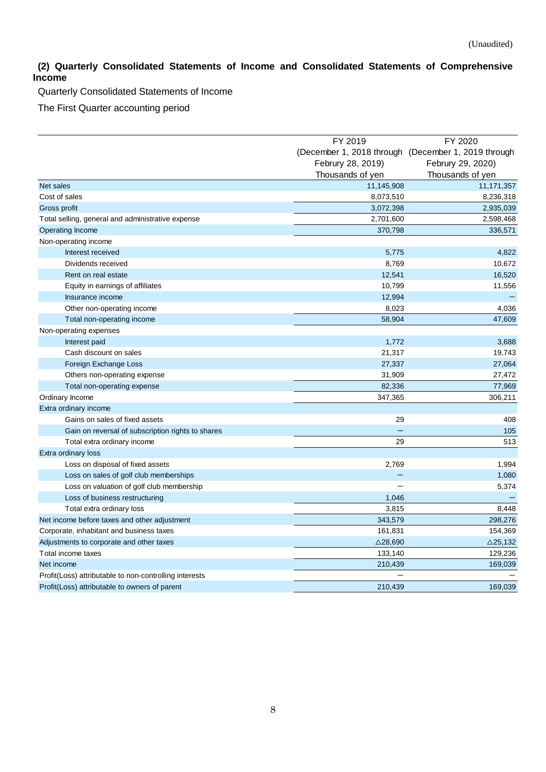## <span id="page-7-0"></span>**(2) Quarterly Consolidated Statements of Income and Consolidated Statements of Comprehensive Income**

Quarterly Consolidated Statements of Income

The First Quarter accounting period

|                                                        | FY 2019            | FY 2020                                             |  |
|--------------------------------------------------------|--------------------|-----------------------------------------------------|--|
|                                                        |                    | (December 1, 2018 through (December 1, 2019 through |  |
|                                                        | Februry 28, 2019)  | Februry 29, 2020)                                   |  |
|                                                        | Thousands of yen   | Thousands of yen                                    |  |
| Net sales                                              | 11,145,908         | 11, 171, 357                                        |  |
| Cost of sales                                          | 8,073,510          | 8,236,318                                           |  |
| Gross profit                                           | 3,072,398          | 2,935,039                                           |  |
| Total selling, general and administrative expense      | 2,701,600          | 2,598,468                                           |  |
| Operating Income                                       | 370,798            | 336,571                                             |  |
| Non-operating income                                   |                    |                                                     |  |
| Interest received                                      | 5,775              | 4,822                                               |  |
| Dividends received                                     | 8,769              | 10,672                                              |  |
| Rent on real estate                                    | 12,541             | 16,520                                              |  |
| Equity in earnings of affiliates                       | 10,799             | 11,556                                              |  |
| Insurance income                                       | 12,994             |                                                     |  |
| Other non-operating income                             | 8,023              | 4,036                                               |  |
| Total non-operating income                             | 58,904             | 47,609                                              |  |
| Non-operating expenses                                 |                    |                                                     |  |
| Interest paid                                          | 1,772              | 3,688                                               |  |
| Cash discount on sales                                 | 21,317             | 19,743                                              |  |
| Foreign Exchange Loss                                  | 27,337             | 27,064                                              |  |
| Others non-operating expense                           | 31,909             | 27,472                                              |  |
| Total non-operating expense                            | 82,336             | 77,969                                              |  |
| Ordinary Income                                        | 347,365            | 306,211                                             |  |
| Extra ordinary income                                  |                    |                                                     |  |
| Gains on sales of fixed assets                         | 29                 | 408                                                 |  |
| Gain on reversal of subscription rights to shares      | $\qquad \qquad -$  | 105                                                 |  |
| Total extra ordinary income                            | 29                 | 513                                                 |  |
| Extra ordinary loss                                    |                    |                                                     |  |
| Loss on disposal of fixed assets                       | 2,769              | 1,994                                               |  |
| Loss on sales of golf club memberships                 |                    | 1,080                                               |  |
| Loss on valuation of golf club membership              |                    | 5,374                                               |  |
| Loss of business restructuring                         | 1,046              |                                                     |  |
| Total extra ordinary loss                              | 3,815              | 8,448                                               |  |
| Net income before taxes and other adjustment           | 343,579            | 298,276                                             |  |
| Corporate, inhabitant and business taxes               | 161,831            | 154,369                                             |  |
| Adjustments to corporate and other taxes               | $\triangle$ 28,690 | $\triangle$ 25,132                                  |  |
| Total income taxes                                     | 133,140            | 129,236                                             |  |
| Net income                                             | 210,439            | 169,039                                             |  |
| Profit(Loss) attributable to non-controlling interests |                    |                                                     |  |
| Profit(Loss) attributable to owners of parent          | 210,439            | 169,039                                             |  |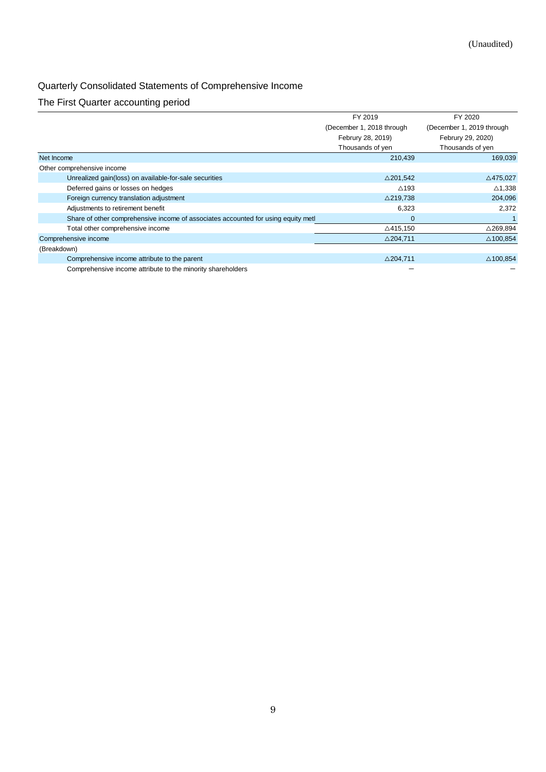## Quarterly Consolidated Statements of Comprehensive Income

# The First Quarter accounting period

|                                                                                  | FY 2019                   | FY 2020                   |
|----------------------------------------------------------------------------------|---------------------------|---------------------------|
|                                                                                  | (December 1, 2018 through | (December 1, 2019 through |
|                                                                                  | Februry 28, 2019)         | Februry 29, 2020)         |
|                                                                                  | Thousands of yen          | Thousands of yen          |
| Net Income                                                                       | 210,439                   | 169,039                   |
| Other comprehensive income                                                       |                           |                           |
| Unrealized gain(loss) on available-for-sale securities                           | $\triangle$ 201,542       | $\triangle$ 475,027       |
| Deferred gains or losses on hedges                                               | $\triangle$ 193           | $\triangle$ 1,338         |
| Foreign currency translation adjustment                                          | $\triangle$ 219,738       | 204,096                   |
| Adjustments to retirement benefit                                                | 6,323                     | 2.372                     |
| Share of other comprehensive income of associates accounted for using equity met | 0                         |                           |
| Total other comprehensive income                                                 | $\triangle$ 415,150       | $\triangle$ 269,894       |
| Comprehensive income                                                             | $\triangle$ 204,711       | $\triangle$ 100,854       |
| (Breakdown)                                                                      |                           |                           |
| Comprehensive income attribute to the parent                                     | $\triangle$ 204,711       | $\triangle$ 100,854       |
| Comprehensive income attribute to the minority shareholders                      |                           |                           |